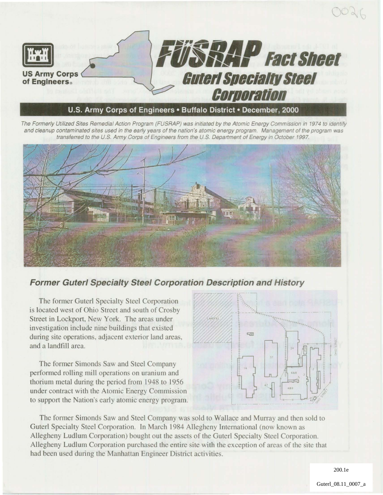

#### U.S. **Army Corps of Engineers· Buffalo District· December, 2000**

The Formerly Utilized Sites Remedial Action Program (FUSRAP) was initiated by the Atomic Energy Commission in 1974 to identify and cleanup contaminated sites used in the early years of the nation's atomic energy program. Management of the program was transferred to the U.S. Army Corps of Engineers from the U.S. Department of Energy in October 1997.



#### **Former Guterl Specialty Steel Corporation Description and History**

Х ,

The former Guterl Specialty Steel Corporation is located west of Ohio Street and south of Crosby Street in Lockport, New York. The areas under investigation include nine buildings that existed during site operations, adjacent exterior land areas, and a landrill area.

The former Simonds Saw and Steel Company performed rolling mill operations on uranium and thorium metal during the period from 1948 to 1956 under contract with the Atomic Energy Commission to support the Nation's early atomic energy program.



The former Simonds Saw and Steel Company was sold to Wallace and Murray and then sold to Guter! Specialty Steel Corporation. In March 1984 Allegheny International (now known as Allegheny Ludlum Corporation) bought out the assets of the Guterl Specialty Steel Corporation. Allegheny Ludlum Corporation purchased the entire site with the exception of areas of the site that had been used during the Manhattan Engineer District activities.

200.1e